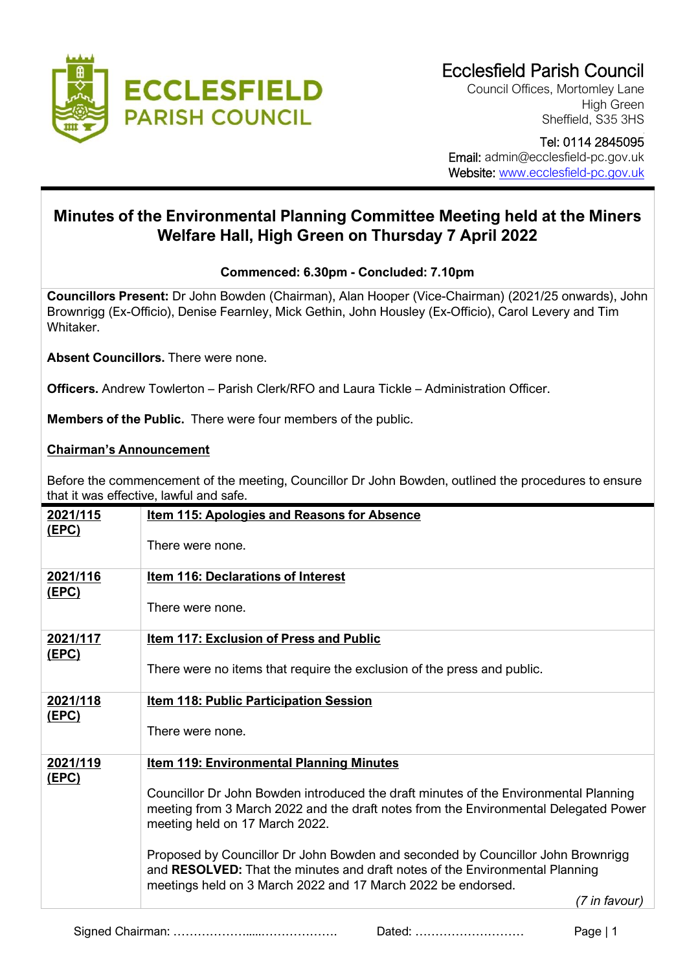

Council Offices, Mortomley Lane High Green Sheffield, S35 3HS

 Tel: 0114 2845095 Email: admin@ecclesfield-pc.gov.uk Website: [www.ecclesfield-pc.gov.uk](http://www.ecclesfield-pc.gov.uk/)

# **Minutes of the Environmental Planning Committee Meeting held at the Miners Welfare Hall, High Green on Thursday 7 April 2022**

## **Commenced: 6.30pm - Concluded: 7.10pm**

**Councillors Present:** Dr John Bowden (Chairman), Alan Hooper (Vice-Chairman) (2021/25 onwards), John Brownrigg (Ex-Officio), Denise Fearnley, Mick Gethin, John Housley (Ex-Officio), Carol Levery and Tim Whitaker.

**Absent Councillors.** There were none.

**Officers.** Andrew Towlerton – Parish Clerk/RFO and Laura Tickle – Administration Officer.

**Members of the Public.** There were four members of the public.

### **Chairman's Announcement**

Before the commencement of the meeting, Councillor Dr John Bowden, outlined the procedures to ensure that it was effective, lawful and safe.

| 2021/115<br><u>(EPC)</u> | <b>Item 115: Apologies and Reasons for Absence</b>                                                                                                                                                                              |
|--------------------------|---------------------------------------------------------------------------------------------------------------------------------------------------------------------------------------------------------------------------------|
|                          | There were none.                                                                                                                                                                                                                |
| 2021/116<br><u>(EPC)</u> | <b>Item 116: Declarations of Interest</b>                                                                                                                                                                                       |
|                          | There were none.                                                                                                                                                                                                                |
| 2021/117                 | Item 117: Exclusion of Press and Public                                                                                                                                                                                         |
| <u>(EPC)</u>             | There were no items that require the exclusion of the press and public.                                                                                                                                                         |
| 2021/118<br><u>(EPC)</u> | <b>Item 118: Public Participation Session</b>                                                                                                                                                                                   |
|                          | There were none.                                                                                                                                                                                                                |
| 2021/119                 | <b>Item 119: Environmental Planning Minutes</b>                                                                                                                                                                                 |
| <u>(EPC)</u>             | Councillor Dr John Bowden introduced the draft minutes of the Environmental Planning<br>meeting from 3 March 2022 and the draft notes from the Environmental Delegated Power<br>meeting held on 17 March 2022.                  |
|                          | Proposed by Councillor Dr John Bowden and seconded by Councillor John Brownrigg<br>and RESOLVED: That the minutes and draft notes of the Environmental Planning<br>meetings held on 3 March 2022 and 17 March 2022 be endorsed. |
|                          | (7 in favour)                                                                                                                                                                                                                   |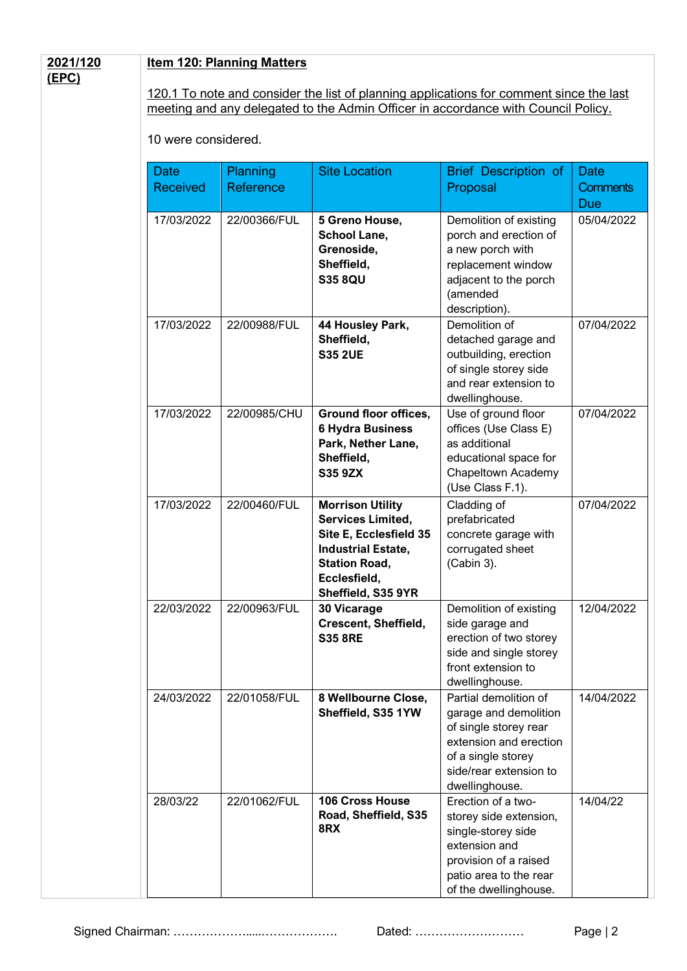#### **2021/120 (EPC)**

#### **Item 120: Planning Matters**

120.1 To note and consider the list of planning applications for comment since the last meeting and any delegated to the Admin Officer in accordance with Council Policy.

10 were considered.

| <b>Date</b><br><b>Received</b> | Planning<br>Reference | <b>Site Location</b>                                                                                                                                                     | Brief Description of<br>Proposal                                                                                                                                    | <b>Date</b><br><b>Comments</b><br><b>Due</b> |
|--------------------------------|-----------------------|--------------------------------------------------------------------------------------------------------------------------------------------------------------------------|---------------------------------------------------------------------------------------------------------------------------------------------------------------------|----------------------------------------------|
| 17/03/2022                     | 22/00366/FUL          | 5 Greno House,<br><b>School Lane,</b><br>Grenoside,<br>Sheffield,<br><b>S35 8QU</b>                                                                                      | Demolition of existing<br>porch and erection of<br>a new porch with<br>replacement window<br>adjacent to the porch<br>(amended<br>description).                     | 05/04/2022                                   |
| 17/03/2022                     | 22/00988/FUL          | 44 Housley Park,<br>Sheffield,<br><b>S35 2UE</b>                                                                                                                         | Demolition of<br>detached garage and<br>outbuilding, erection<br>of single storey side<br>and rear extension to<br>dwellinghouse.                                   | 07/04/2022                                   |
| 17/03/2022                     | 22/00985/CHU          | <b>Ground floor offices,</b><br><b>6 Hydra Business</b><br>Park, Nether Lane,<br>Sheffield,<br><b>S35 9ZX</b>                                                            | Use of ground floor<br>offices (Use Class E)<br>as additional<br>educational space for<br>Chapeltown Academy<br>(Use Class F.1).                                    | 07/04/2022                                   |
| 17/03/2022                     | 22/00460/FUL          | <b>Morrison Utility</b><br><b>Services Limited,</b><br>Site E, Ecclesfield 35<br><b>Industrial Estate,</b><br><b>Station Road,</b><br>Ecclesfield,<br>Sheffield, S35 9YR | Cladding of<br>prefabricated<br>concrete garage with<br>corrugated sheet<br>(Cabin 3).                                                                              | 07/04/2022                                   |
| 22/03/2022                     | 22/00963/FUL          | 30 Vicarage<br><b>Crescent, Sheffield,</b><br><b>S35 8RE</b>                                                                                                             | Demolition of existing<br>side garage and<br>erection of two storey<br>side and single storey<br>front extension to<br>dwellinghouse.                               | 12/04/2022                                   |
| 24/03/2022                     | 22/01058/FUL          | 8 Wellbourne Close,<br>Sheffield, S35 1YW                                                                                                                                | Partial demolition of<br>garage and demolition<br>of single storey rear<br>extension and erection<br>of a single storey<br>side/rear extension to<br>dwellinghouse. | 14/04/2022                                   |
| 28/03/22                       | 22/01062/FUL          | 106 Cross House<br>Road, Sheffield, S35<br>8RX                                                                                                                           | Erection of a two-<br>storey side extension,<br>single-storey side<br>extension and<br>provision of a raised<br>patio area to the rear<br>of the dwellinghouse.     | 14/04/22                                     |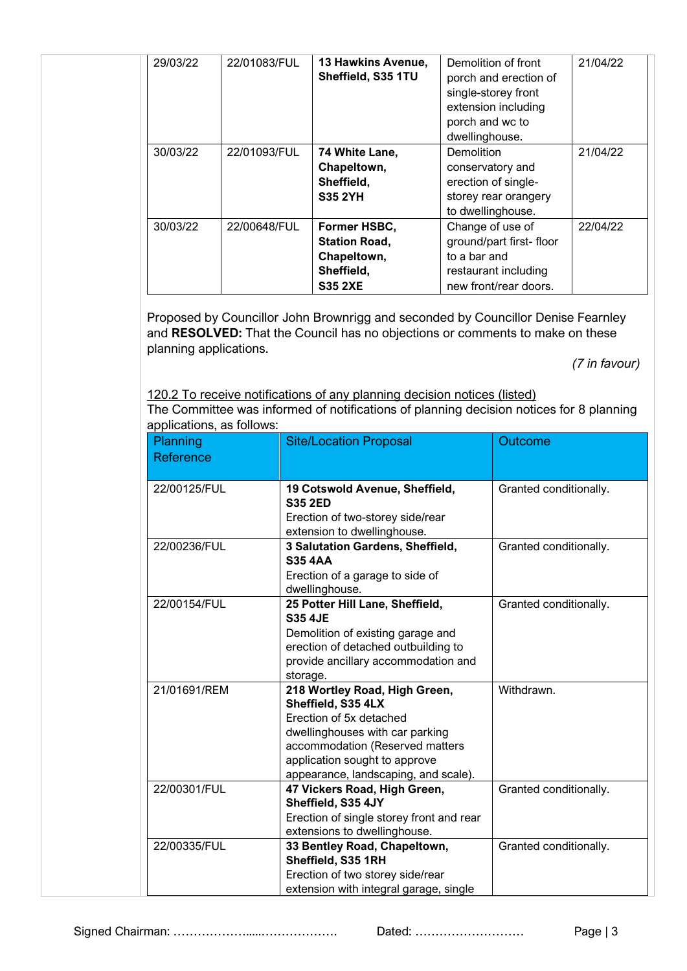| 29/03/22 | 22/01083/FUL | <b>13 Hawkins Avenue,</b><br>Sheffield, S35 1TU                                     | Demolition of front<br>porch and erection of<br>single-storey front<br>extension including<br>porch and wc to<br>dwellinghouse. | 21/04/22 |
|----------|--------------|-------------------------------------------------------------------------------------|---------------------------------------------------------------------------------------------------------------------------------|----------|
| 30/03/22 | 22/01093/FUL | 74 White Lane,<br>Chapeltown,<br>Sheffield,<br><b>S35 2YH</b>                       | Demolition<br>conservatory and<br>erection of single-<br>storey rear orangery<br>to dwellinghouse.                              | 21/04/22 |
| 30/03/22 | 22/00648/FUL | Former HSBC,<br><b>Station Road,</b><br>Chapeltown,<br>Sheffield,<br><b>S35 2XE</b> | Change of use of<br>ground/part first-floor<br>to a bar and<br>restaurant including<br>new front/rear doors.                    | 22/04/22 |

Proposed by Councillor John Brownrigg and seconded by Councillor Denise Fearnley and **RESOLVED:** That the Council has no objections or comments to make on these planning applications.

 *(7 in favour)*

120.2 To receive notifications of any planning decision notices (listed) The Committee was informed of notifications of planning decision notices for 8 planning applications, as follows:

| <b>Planning</b><br>Reference | <b>Site/Location Proposal</b>                                                                                                                                                                                                 | Outcome                |
|------------------------------|-------------------------------------------------------------------------------------------------------------------------------------------------------------------------------------------------------------------------------|------------------------|
| 22/00125/FUL                 | 19 Cotswold Avenue, Sheffield,<br><b>S35 2ED</b>                                                                                                                                                                              | Granted conditionally. |
|                              | Erection of two-storey side/rear<br>extension to dwellinghouse.                                                                                                                                                               |                        |
| 22/00236/FUL                 | 3 Salutation Gardens, Sheffield,<br><b>S35 4AA</b><br>Erection of a garage to side of                                                                                                                                         | Granted conditionally. |
| 22/00154/FUL                 | dwellinghouse.<br>25 Potter Hill Lane, Sheffield,                                                                                                                                                                             | Granted conditionally. |
|                              | <b>S35 4JE</b><br>Demolition of existing garage and<br>erection of detached outbuilding to<br>provide ancillary accommodation and<br>storage.                                                                                 |                        |
| 21/01691/REM                 | 218 Wortley Road, High Green,<br>Sheffield, S35 4LX<br>Erection of 5x detached<br>dwellinghouses with car parking<br>accommodation (Reserved matters<br>application sought to approve<br>appearance, landscaping, and scale). | Withdrawn.             |
| 22/00301/FUL                 | 47 Vickers Road, High Green,<br>Sheffield, S35 4JY<br>Erection of single storey front and rear<br>extensions to dwellinghouse.                                                                                                | Granted conditionally. |
| 22/00335/FUL                 | 33 Bentley Road, Chapeltown,<br>Sheffield, S35 1RH<br>Erection of two storey side/rear<br>extension with integral garage, single                                                                                              | Granted conditionally. |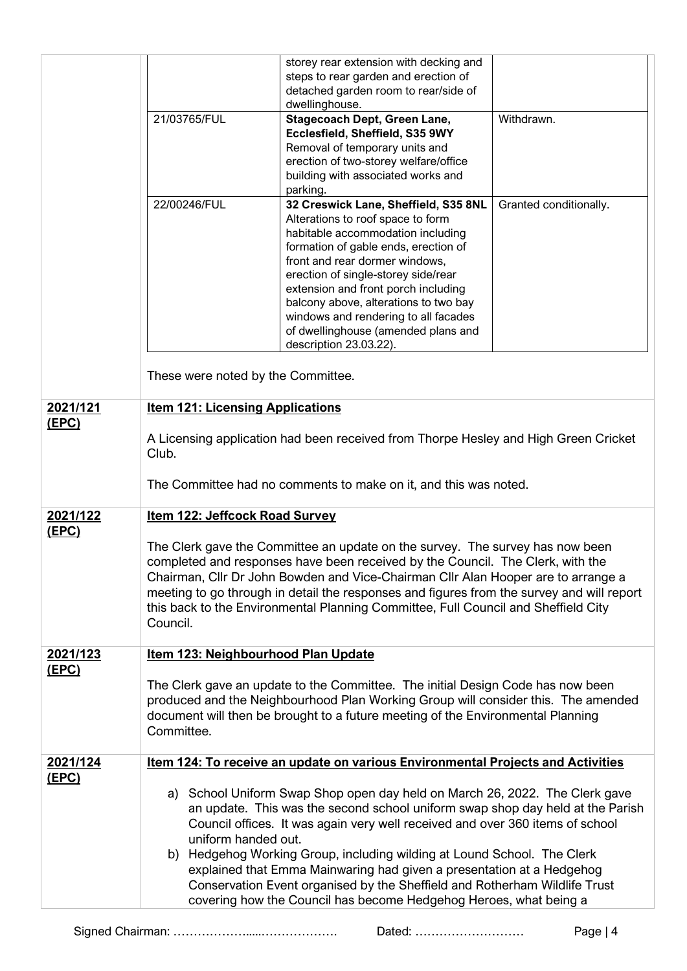|              |                                                                                                                                                                                                                                                                                                                                                                                                                                                     | storey rear extension with decking and<br>steps to rear garden and erection of<br>detached garden room to rear/side of<br>dwellinghouse.                                                                                                                                                                                                                                                                                                                                                                                                              |                        |
|--------------|-----------------------------------------------------------------------------------------------------------------------------------------------------------------------------------------------------------------------------------------------------------------------------------------------------------------------------------------------------------------------------------------------------------------------------------------------------|-------------------------------------------------------------------------------------------------------------------------------------------------------------------------------------------------------------------------------------------------------------------------------------------------------------------------------------------------------------------------------------------------------------------------------------------------------------------------------------------------------------------------------------------------------|------------------------|
|              | 21/03765/FUL                                                                                                                                                                                                                                                                                                                                                                                                                                        | <b>Stagecoach Dept, Green Lane,</b><br>Ecclesfield, Sheffield, S35 9WY<br>Removal of temporary units and<br>erection of two-storey welfare/office<br>building with associated works and<br>parking.                                                                                                                                                                                                                                                                                                                                                   | Withdrawn.             |
|              | 22/00246/FUL<br>These were noted by the Committee.                                                                                                                                                                                                                                                                                                                                                                                                  | 32 Creswick Lane, Sheffield, S35 8NL<br>Alterations to roof space to form<br>habitable accommodation including<br>formation of gable ends, erection of<br>front and rear dormer windows,<br>erection of single-storey side/rear<br>extension and front porch including<br>balcony above, alterations to two bay<br>windows and rendering to all facades<br>of dwellinghouse (amended plans and<br>description 23.03.22).                                                                                                                              | Granted conditionally. |
| 2021/121     | <b>Item 121: Licensing Applications</b>                                                                                                                                                                                                                                                                                                                                                                                                             |                                                                                                                                                                                                                                                                                                                                                                                                                                                                                                                                                       |                        |
| (EPC)        | A Licensing application had been received from Thorpe Hesley and High Green Cricket<br>Club.<br>The Committee had no comments to make on it, and this was noted.                                                                                                                                                                                                                                                                                    |                                                                                                                                                                                                                                                                                                                                                                                                                                                                                                                                                       |                        |
| 2021/122     | Item 122: Jeffcock Road Survey                                                                                                                                                                                                                                                                                                                                                                                                                      |                                                                                                                                                                                                                                                                                                                                                                                                                                                                                                                                                       |                        |
| <u>(EPC)</u> | The Clerk gave the Committee an update on the survey. The survey has now been<br>completed and responses have been received by the Council. The Clerk, with the<br>Chairman, Cllr Dr John Bowden and Vice-Chairman Cllr Alan Hooper are to arrange a<br>meeting to go through in detail the responses and figures from the survey and will report<br>this back to the Environmental Planning Committee, Full Council and Sheffield City<br>Council. |                                                                                                                                                                                                                                                                                                                                                                                                                                                                                                                                                       |                        |
| 2021/123     | Item 123: Neighbourhood Plan Update                                                                                                                                                                                                                                                                                                                                                                                                                 |                                                                                                                                                                                                                                                                                                                                                                                                                                                                                                                                                       |                        |
| <u>(EPC)</u> | The Clerk gave an update to the Committee. The initial Design Code has now been<br>produced and the Neighbourhood Plan Working Group will consider this. The amended<br>document will then be brought to a future meeting of the Environmental Planning<br>Committee.                                                                                                                                                                               |                                                                                                                                                                                                                                                                                                                                                                                                                                                                                                                                                       |                        |
| 2021/124     | Item 124: To receive an update on various Environmental Projects and Activities                                                                                                                                                                                                                                                                                                                                                                     |                                                                                                                                                                                                                                                                                                                                                                                                                                                                                                                                                       |                        |
| <u>(EPC)</u> | uniform handed out.                                                                                                                                                                                                                                                                                                                                                                                                                                 | a) School Uniform Swap Shop open day held on March 26, 2022. The Clerk gave<br>an update. This was the second school uniform swap shop day held at the Parish<br>Council offices. It was again very well received and over 360 items of school<br>b) Hedgehog Working Group, including wilding at Lound School. The Clerk<br>explained that Emma Mainwaring had given a presentation at a Hedgehog<br>Conservation Event organised by the Sheffield and Rotherham Wildlife Trust<br>covering how the Council has become Hedgehog Heroes, what being a |                        |